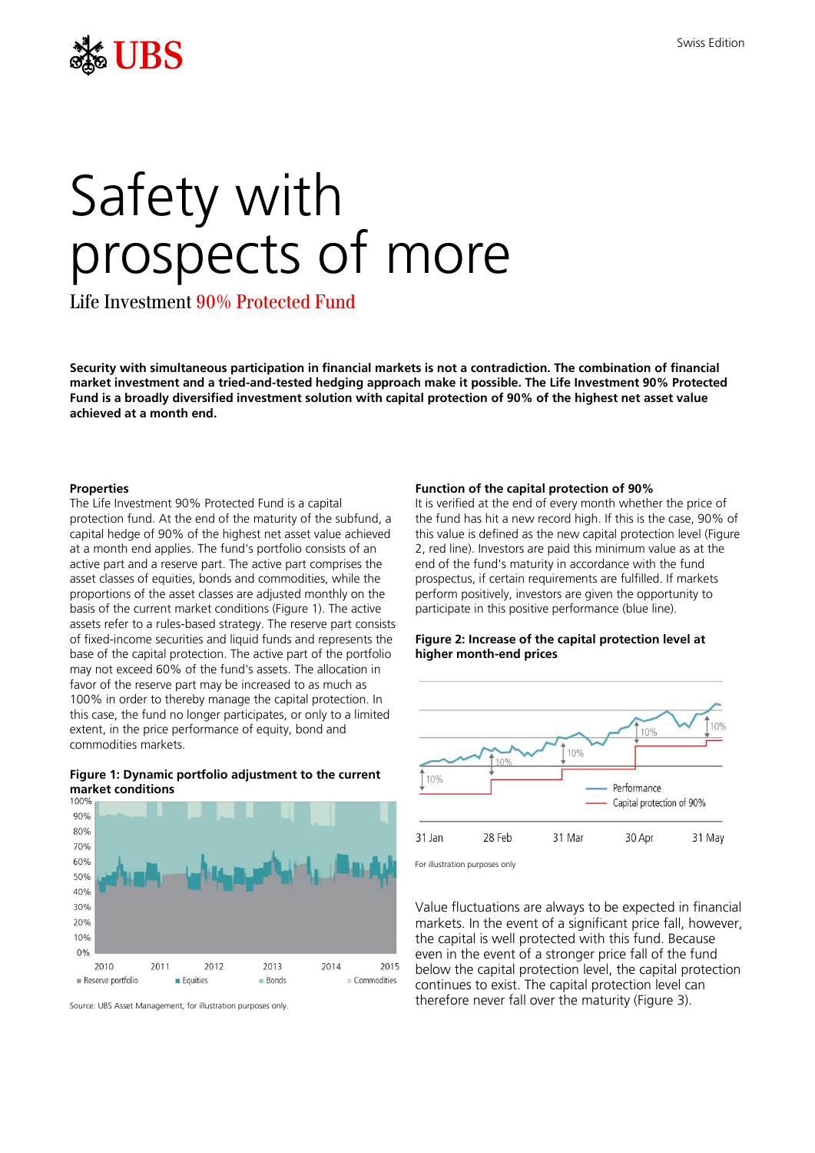

# Safety with prospects of more

Life Investment 90% Protected Fund

**Security with simultaneous participation in financial markets is not a contradiction. The combination of financial market investment and a tried-and-tested hedging approach make it possible. The Life Investment 90% Protected Fund is a broadly diversified investment solution with capital protection of 90% of the highest net asset value achieved at a month end.**

#### **Properties**

The Life Investment 90% Protected Fund is a capital protection fund. At the end of the maturity of the subfund, a capital hedge of 90% of the highest net asset value achieved at a month end applies. The fund's portfolio consists of an active part and a reserve part. The active part comprises the asset classes of equities, bonds and commodities, while the proportions of the asset classes are adjusted monthly on the basis of the current market conditions (Figure 1). The active assets refer to a rules-based strategy. The reserve part consists of fixed-income securities and liquid funds and represents the base of the capital protection. The active part of the portfolio may not exceed 60% of the fund's assets. The allocation in favor of the reserve part may be increased to as much as 100% in order to thereby manage the capital protection. In this case, the fund no longer participates, or only to a limited extent, in the price performance of equity, bond and commodities markets.

# **Figure 1: Dynamic portfolio adjustment to the current market conditions**



Source: UBS Asset Management, for illustration purposes only.

#### **Function of the capital protection of 90%**

It is verified at the end of every month whether the price of the fund has hit a new record high. If this is the case, 90% of this value is defined as the new capital protection level (Figure 2, red line). Investors are paid this minimum value as at the end of the fund's maturity in accordance with the fund prospectus, if certain requirements are fulfilled. If markets perform positively, investors are given the opportunity to participate in this positive performance (blue line).

#### **Figure 2: Increase of the capital protection level at higher month-end prices**



For illustration purposes only

Value fluctuations are always to be expected in financial markets. In the event of a significant price fall, however, the capital is well protected with this fund. Because even in the event of a stronger price fall of the fund below the capital protection level, the capital protection continues to exist. The capital protection level can therefore never fall over the maturity (Figure 3).